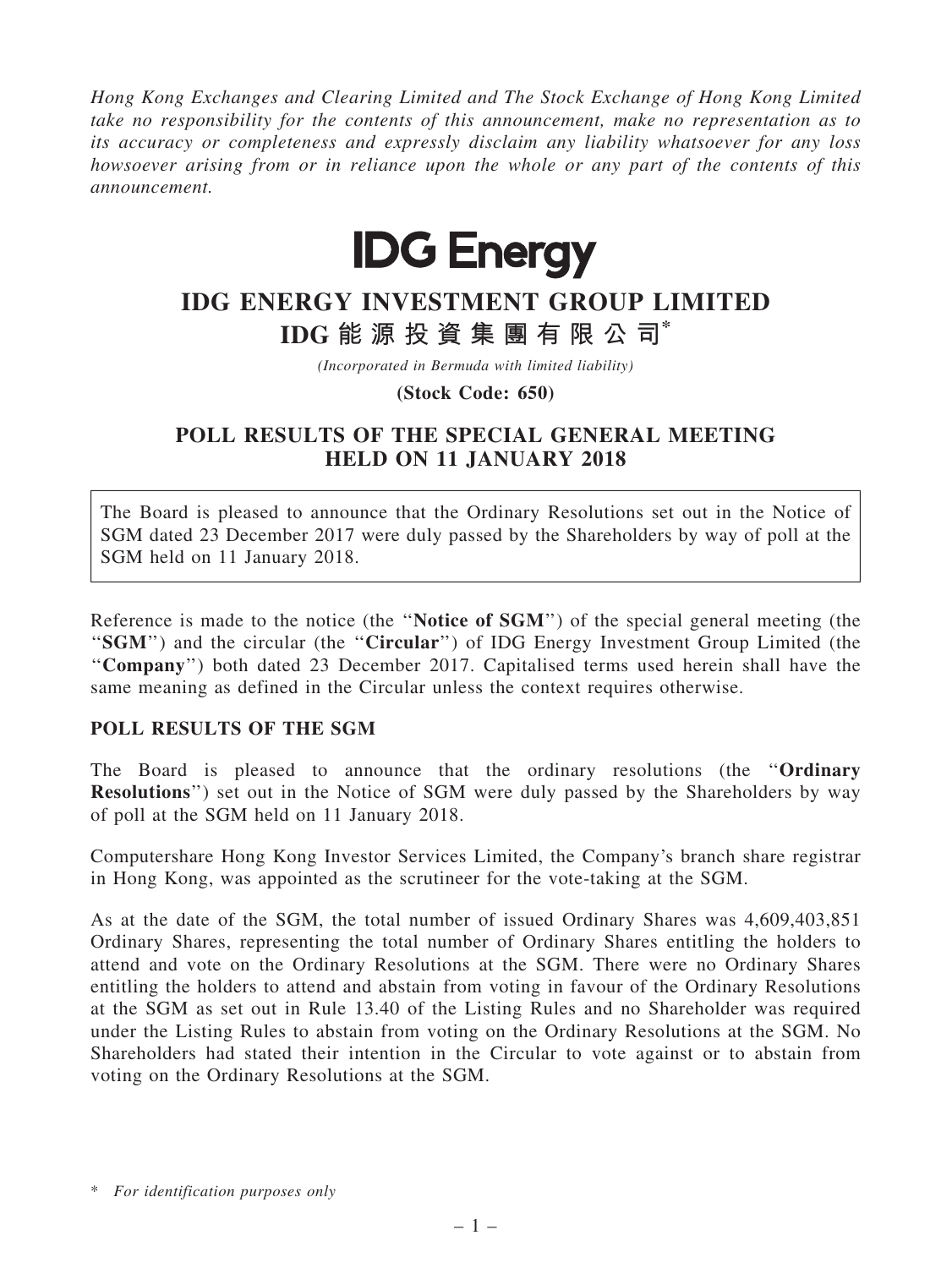Hong Kong Exchanges and Clearing Limited and The Stock Exchange of Hong Kong Limited take no responsibility for the contents of this announcement, make no representation as to its accuracy or completeness and expressly disclaim any liability whatsoever for any loss howsoever arising from or in reliance upon the whole or any part of the contents of this announcement.



## IDG ENERGY INVESTMENT GROUP LIMITED IDG 能 源 投 資 集 團 有 限 公 司\*

(Incorporated in Bermuda with limited liability)

(Stock Code: 650)

## POLL RESULTS OF THE SPECIAL GENERAL MEETING HELD ON 11 JANUARY 2018

The Board is pleased to announce that the Ordinary Resolutions set out in the Notice of SGM dated 23 December 2017 were duly passed by the Shareholders by way of poll at the SGM held on 11 January 2018.

Reference is made to the notice (the "Notice of SGM") of the special general meeting (the "SGM") and the circular (the "Circular") of IDG Energy Investment Group Limited (the "Company") both dated 23 December 2017. Capitalised terms used herein shall have the same meaning as defined in the Circular unless the context requires otherwise.

## POLL RESULTS OF THE SGM

The Board is pleased to announce that the ordinary resolutions (the ''Ordinary Resolutions") set out in the Notice of SGM were duly passed by the Shareholders by way of poll at the SGM held on 11 January 2018.

Computershare Hong Kong Investor Services Limited, the Company's branch share registrar in Hong Kong, was appointed as the scrutineer for the vote-taking at the SGM.

As at the date of the SGM, the total number of issued Ordinary Shares was 4,609,403,851 Ordinary Shares, representing the total number of Ordinary Shares entitling the holders to attend and vote on the Ordinary Resolutions at the SGM. There were no Ordinary Shares entitling the holders to attend and abstain from voting in favour of the Ordinary Resolutions at the SGM as set out in Rule 13.40 of the Listing Rules and no Shareholder was required under the Listing Rules to abstain from voting on the Ordinary Resolutions at the SGM. No Shareholders had stated their intention in the Circular to vote against or to abstain from voting on the Ordinary Resolutions at the SGM.

<sup>\*</sup> For identification purposes only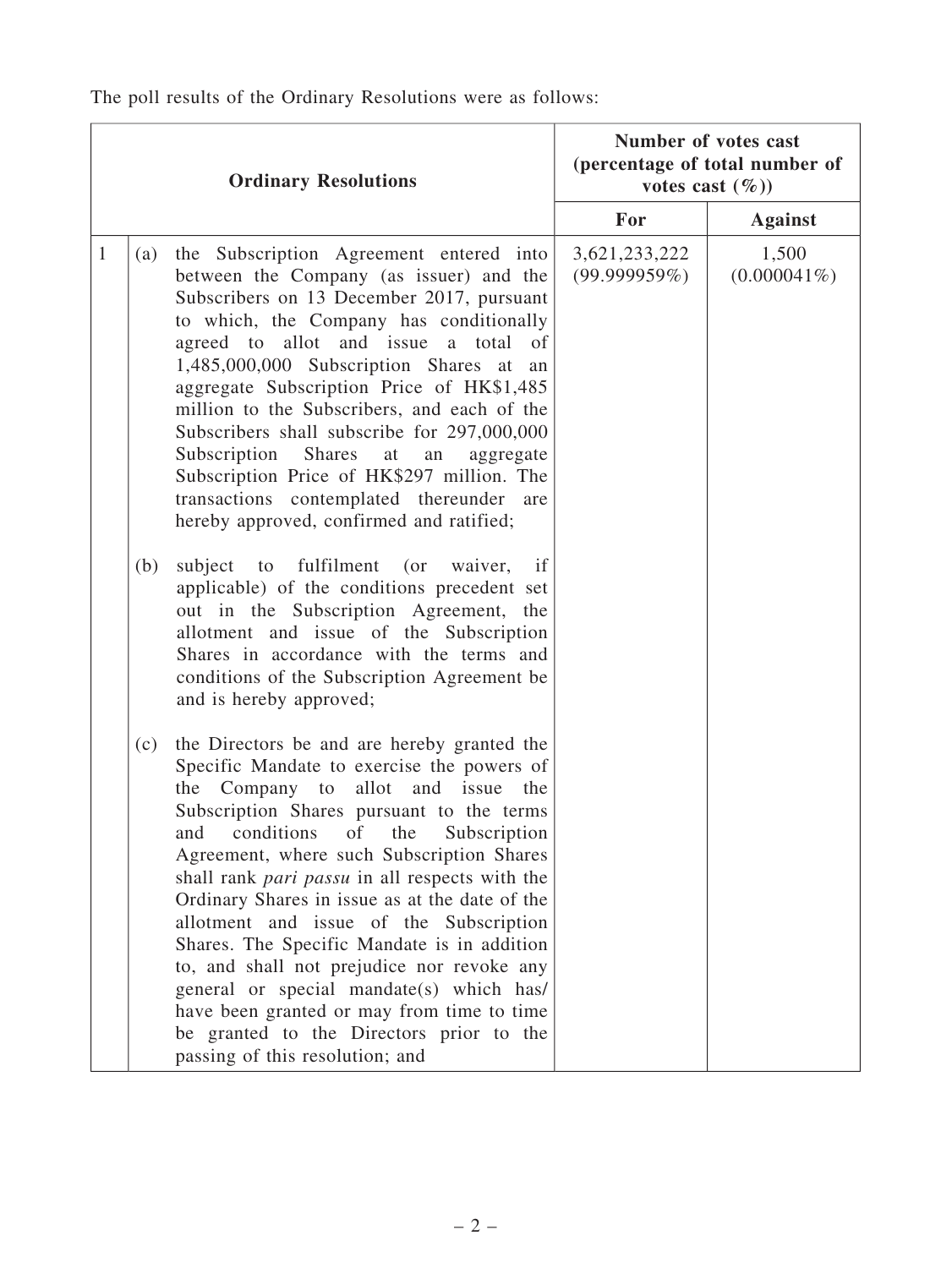| <b>Ordinary Resolutions</b> |     |                                                                                                                                                                                                                                                                                                                                                                                                                                                                                                                                                                                                                                                                                                           | Number of votes cast<br>(percentage of total number of<br>votes cast $(\%)$ |                         |
|-----------------------------|-----|-----------------------------------------------------------------------------------------------------------------------------------------------------------------------------------------------------------------------------------------------------------------------------------------------------------------------------------------------------------------------------------------------------------------------------------------------------------------------------------------------------------------------------------------------------------------------------------------------------------------------------------------------------------------------------------------------------------|-----------------------------------------------------------------------------|-------------------------|
|                             |     |                                                                                                                                                                                                                                                                                                                                                                                                                                                                                                                                                                                                                                                                                                           | For                                                                         | <b>Against</b>          |
| $\mathbf{1}$                | (a) | the Subscription Agreement entered into<br>between the Company (as issuer) and the<br>Subscribers on 13 December 2017, pursuant<br>to which, the Company has conditionally<br>agreed to allot and issue a total<br>of<br>1,485,000,000 Subscription Shares at<br>an<br>aggregate Subscription Price of HK\$1,485<br>million to the Subscribers, and each of the<br>Subscribers shall subscribe for 297,000,000<br>Subscription<br>Shares<br>$\operatorname{at}$<br>${\rm an}$<br>aggregate<br>Subscription Price of HK\$297 million. The<br>transactions contemplated thereunder are<br>hereby approved, confirmed and ratified;                                                                          | 3,621,233,222<br>(99.999959%)                                               | 1,500<br>$(0.000041\%)$ |
|                             | (b) | fulfilment<br>subject<br>to<br>(or waiver,<br>if<br>applicable) of the conditions precedent set<br>out in the Subscription Agreement, the<br>allotment and issue of the Subscription<br>Shares in accordance with the terms and<br>conditions of the Subscription Agreement be<br>and is hereby approved;                                                                                                                                                                                                                                                                                                                                                                                                 |                                                                             |                         |
|                             | (c) | the Directors be and are hereby granted the<br>Specific Mandate to exercise the powers of<br>allot and issue<br>Company to<br>the<br>the<br>Subscription Shares pursuant to the terms<br>of<br>conditions<br>Subscription<br>and<br>the<br>Agreement, where such Subscription Shares<br>shall rank pari passu in all respects with the<br>Ordinary Shares in issue as at the date of the<br>allotment and issue of the Subscription<br>Shares. The Specific Mandate is in addition<br>to, and shall not prejudice nor revoke any<br>general or special mandate(s) which has/<br>have been granted or may from time to time<br>be granted to the Directors prior to the<br>passing of this resolution; and |                                                                             |                         |

The poll results of the Ordinary Resolutions were as follows: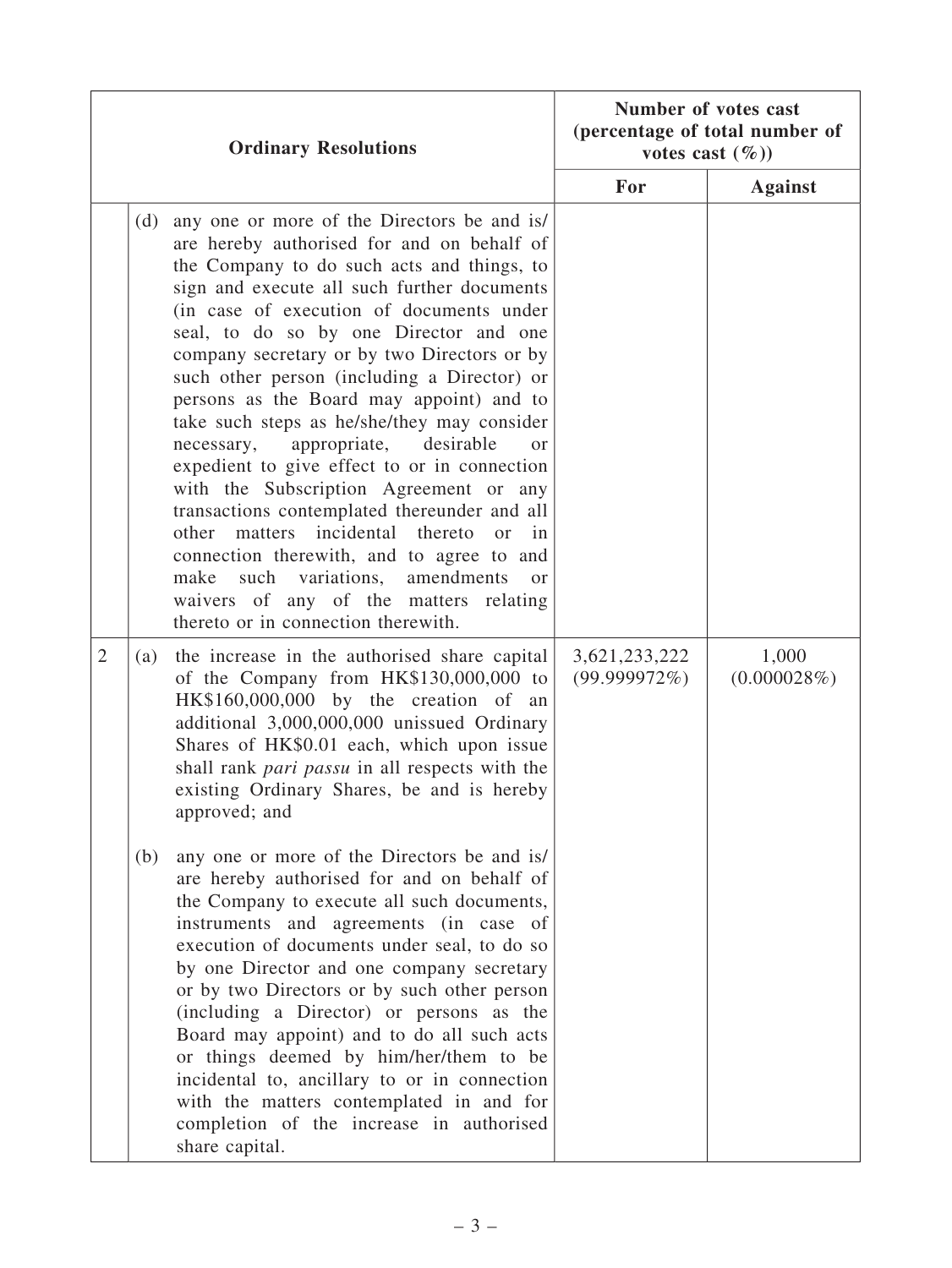| <b>Ordinary Resolutions</b> |     |                                                                                                                                                                                                                                                                                                                                                                                                                                                                                                                                                                                                                                                                                                                                                                                                                                                                                                                                       | Number of votes cast<br>(percentage of total number of<br>votes cast $(\%)$ |                      |
|-----------------------------|-----|---------------------------------------------------------------------------------------------------------------------------------------------------------------------------------------------------------------------------------------------------------------------------------------------------------------------------------------------------------------------------------------------------------------------------------------------------------------------------------------------------------------------------------------------------------------------------------------------------------------------------------------------------------------------------------------------------------------------------------------------------------------------------------------------------------------------------------------------------------------------------------------------------------------------------------------|-----------------------------------------------------------------------------|----------------------|
|                             |     |                                                                                                                                                                                                                                                                                                                                                                                                                                                                                                                                                                                                                                                                                                                                                                                                                                                                                                                                       | For                                                                         | <b>Against</b>       |
|                             | (d) | any one or more of the Directors be and is/<br>are hereby authorised for and on behalf of<br>the Company to do such acts and things, to<br>sign and execute all such further documents<br>(in case of execution of documents under<br>seal, to do so by one Director and one<br>company secretary or by two Directors or by<br>such other person (including a Director) or<br>persons as the Board may appoint) and to<br>take such steps as he/she/they may consider<br>appropriate,<br>desirable<br>necessary,<br><sub>or</sub><br>expedient to give effect to or in connection<br>with the Subscription Agreement or any<br>transactions contemplated thereunder and all<br>other matters incidental thereto<br>$\alpha$<br>$\mathbf{in}$<br>connection therewith, and to agree to and<br>variations, amendments<br>make<br>such<br><sub>or</sub><br>waivers of any of the matters relating<br>thereto or in connection therewith. |                                                                             |                      |
| $\overline{2}$              | (a) | the increase in the authorised share capital<br>of the Company from HK\$130,000,000 to<br>HK\$160,000,000 by the creation of an<br>additional 3,000,000,000 unissued Ordinary<br>Shares of HK\$0.01 each, which upon issue<br>shall rank <i>pari passu</i> in all respects with the<br>existing Ordinary Shares, be and is hereby<br>approved; and                                                                                                                                                                                                                                                                                                                                                                                                                                                                                                                                                                                    | 3,621,233,222<br>(99.999972%)                                               | 1,000<br>(0.000028%) |
|                             | (b) | any one or more of the Directors be and is/<br>are hereby authorised for and on behalf of<br>the Company to execute all such documents,<br>instruments and agreements (in case of<br>execution of documents under seal, to do so<br>by one Director and one company secretary<br>or by two Directors or by such other person<br>(including a Director) or persons as the<br>Board may appoint) and to do all such acts<br>or things deemed by him/her/them to be<br>incidental to, ancillary to or in connection<br>with the matters contemplated in and for<br>completion of the increase in authorised<br>share capital.                                                                                                                                                                                                                                                                                                            |                                                                             |                      |